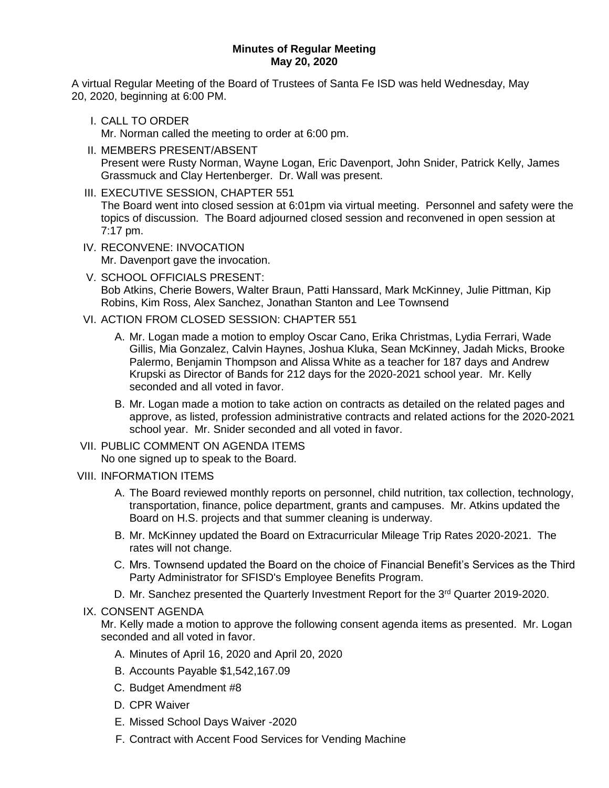## **Minutes of Regular Meeting May 20, 2020**

A virtual Regular Meeting of the Board of Trustees of Santa Fe ISD was held Wednesday, May 20, 2020, beginning at 6:00 PM.

I. CALL TO ORDER

Mr. Norman called the meeting to order at 6:00 pm.

- II. MEMBERS PRESENT/ABSENT Present were Rusty Norman, Wayne Logan, Eric Davenport, John Snider, Patrick Kelly, James Grassmuck and Clay Hertenberger. Dr. Wall was present.
- III. EXECUTIVE SESSION, CHAPTER 551 The Board went into closed session at 6:01pm via virtual meeting. Personnel and safety were the topics of discussion. The Board adjourned closed session and reconvened in open session at 7:17 pm.
- IV. RECONVENE: INVOCATION Mr. Davenport gave the invocation.
- V. SCHOOL OFFICIALS PRESENT: Bob Atkins, Cherie Bowers, Walter Braun, Patti Hanssard, Mark McKinney, Julie Pittman, Kip Robins, Kim Ross, Alex Sanchez, Jonathan Stanton and Lee Townsend
- VI. ACTION FROM CLOSED SESSION: CHAPTER 551
	- A. Mr. Logan made a motion to employ Oscar Cano, Erika Christmas, Lydia Ferrari, Wade Gillis, Mia Gonzalez, Calvin Haynes, Joshua Kluka, Sean McKinney, Jadah Micks, Brooke Palermo, Benjamin Thompson and Alissa White as a teacher for 187 days and Andrew Krupski as Director of Bands for 212 days for the 2020-2021 school year. Mr. Kelly seconded and all voted in favor.
	- B. Mr. Logan made a motion to take action on contracts as detailed on the related pages and approve, as listed, profession administrative contracts and related actions for the 2020-2021 school year. Mr. Snider seconded and all voted in favor.

## VII. PUBLIC COMMENT ON AGENDA ITEMS

No one signed up to speak to the Board.

- VIII. INFORMATION ITEMS
	- A. The Board reviewed monthly reports on personnel, child nutrition, tax collection, technology, transportation, finance, police department, grants and campuses. Mr. Atkins updated the Board on H.S. projects and that summer cleaning is underway.
	- B. Mr. McKinney updated the Board on Extracurricular Mileage Trip Rates 2020-2021. The rates will not change.
	- C. Mrs. Townsend updated the Board on the choice of Financial Benefit's Services as the Third Party Administrator for SFISD's Employee Benefits Program.
	- D. Mr. Sanchez presented the Quarterly Investment Report for the 3<sup>rd</sup> Quarter 2019-2020.

## IX. CONSENT AGENDA

Mr. Kelly made a motion to approve the following consent agenda items as presented. Mr. Logan seconded and all voted in favor.

- A. Minutes of April 16, 2020 and April 20, 2020
- B. Accounts Payable \$1,542,167.09
- C. Budget Amendment #8
- D. CPR Waiver
- E. Missed School Days Waiver -2020
- F. Contract with Accent Food Services for Vending Machine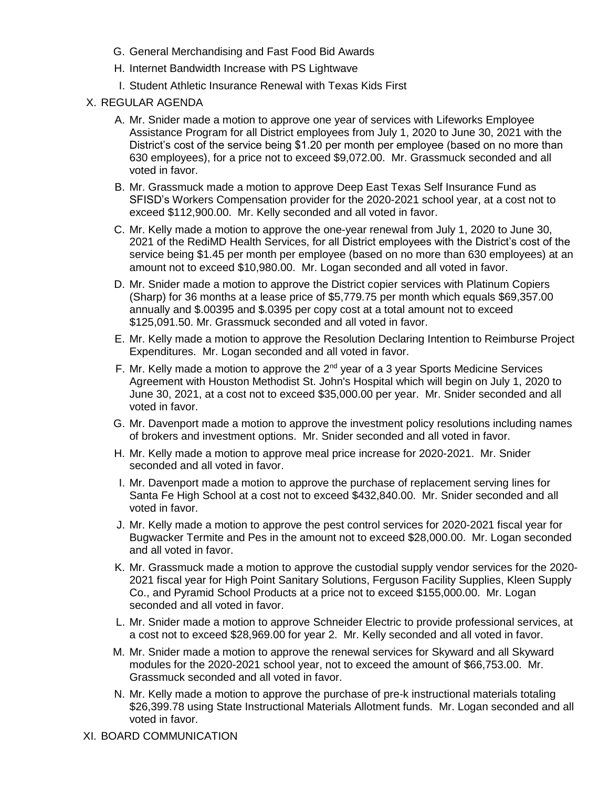- G. General Merchandising and Fast Food Bid Awards
- H. Internet Bandwidth Increase with PS Lightwave
- I. Student Athletic Insurance Renewal with Texas Kids First
- X. REGULAR AGENDA
	- A. Mr. Snider made a motion to approve one year of services with Lifeworks Employee Assistance Program for all District employees from July 1, 2020 to June 30, 2021 with the District's cost of the service being \$1.20 per month per employee (based on no more than 630 employees), for a price not to exceed \$9,072.00. Mr. Grassmuck seconded and all voted in favor.
	- B. Mr. Grassmuck made a motion to approve Deep East Texas Self Insurance Fund as SFISD's Workers Compensation provider for the 2020-2021 school year, at a cost not to exceed \$112,900.00. Mr. Kelly seconded and all voted in favor.
	- C. Mr. Kelly made a motion to approve the one-year renewal from July 1, 2020 to June 30, 2021 of the RediMD Health Services, for all District employees with the District's cost of the service being \$1.45 per month per employee (based on no more than 630 employees) at an amount not to exceed \$10,980.00. Mr. Logan seconded and all voted in favor.
	- D. Mr. Snider made a motion to approve the District copier services with Platinum Copiers (Sharp) for 36 months at a lease price of \$5,779.75 per month which equals \$69,357.00 annually and \$.00395 and \$.0395 per copy cost at a total amount not to exceed \$125,091.50. Mr. Grassmuck seconded and all voted in favor.
	- E. Mr. Kelly made a motion to approve the Resolution Declaring Intention to Reimburse Project Expenditures. Mr. Logan seconded and all voted in favor.
	- F. Mr. Kelly made a motion to approve the 2<sup>nd</sup> year of a 3 year Sports Medicine Services Agreement with Houston Methodist St. John's Hospital which will begin on July 1, 2020 to June 30, 2021, at a cost not to exceed \$35,000.00 per year. Mr. Snider seconded and all voted in favor.
	- G. Mr. Davenport made a motion to approve the investment policy resolutions including names of brokers and investment options. Mr. Snider seconded and all voted in favor.
	- H. Mr. Kelly made a motion to approve meal price increase for 2020-2021. Mr. Snider seconded and all voted in favor.
	- I. Mr. Davenport made a motion to approve the purchase of replacement serving lines for Santa Fe High School at a cost not to exceed \$432,840.00. Mr. Snider seconded and all voted in favor.
	- J. Mr. Kelly made a motion to approve the pest control services for 2020-2021 fiscal year for Bugwacker Termite and Pes in the amount not to exceed \$28,000.00. Mr. Logan seconded and all voted in favor.
	- K. Mr. Grassmuck made a motion to approve the custodial supply vendor services for the 2020- 2021 fiscal year for High Point Sanitary Solutions, Ferguson Facility Supplies, Kleen Supply Co., and Pyramid School Products at a price not to exceed \$155,000.00. Mr. Logan seconded and all voted in favor.
	- L. Mr. Snider made a motion to approve Schneider Electric to provide professional services, at a cost not to exceed \$28,969.00 for year 2. Mr. Kelly seconded and all voted in favor.
	- M. Mr. Snider made a motion to approve the renewal services for Skyward and all Skyward modules for the 2020-2021 school year, not to exceed the amount of \$66,753.00. Mr. Grassmuck seconded and all voted in favor.
	- N. Mr. Kelly made a motion to approve the purchase of pre-k instructional materials totaling \$26,399.78 using State Instructional Materials Allotment funds. Mr. Logan seconded and all voted in favor.